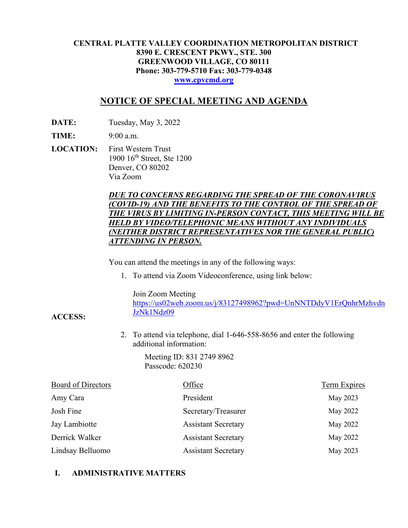## **CENTRAL PLATTE VALLEY COORDINATION METROPOLITAN DISTRICT 8390 E. CRESCENT PKWY., STE. 300 GREENWOOD VILLAGE, CO 80111 Phone: 303-779-5710 Fax: 303-779-0348 [www.cpvcmd.org](http://www.cpvcmd.org/)**

# **NOTICE OF SPECIAL MEETING AND AGENDA**

**DATE:** Tuesday, May 3, 2022

**TIME:** 9:00 a.m.

**ACCESS:**

**LOCATION:** First Western Trust 1900 16<sup>th</sup> Street, Ste 1200 Denver, CO 80202 Via Zoom

## *DUE TO CONCERNS REGARDING THE SPREAD OF THE CORONAVIRUS (COVID-19) AND THE BENEFITS TO THE CONTROL OF THE SPREAD OF THE VIRUS BY LIMITING IN-PERSON CONTACT, THIS MEETING WILL BE HELD BY VIDEO/TELEPHONIC MEANS WITHOUT ANY INDIVIDUALS (NEITHER DISTRICT REPRESENTATIVES NOR THE GENERAL PUBLIC) ATTENDING IN PERSON.*

You can attend the meetings in any of the following ways:

1. To attend via Zoom Videoconference, using link below:

Join Zoom Meeting

[https://us02web.zoom.us/j/83127498962?pwd=UnNNTDdyV1ErQnhrMzhvdn](https://nam11.safelinks.protection.outlook.com/?url=https%3A%2F%2Fus02web.zoom.us%2Fj%2F83127498962%3Fpwd%3DUnNNTDdyV1ErQnhrMzhvdnJzNk1Ndz09&data=04%7C01%7CRachel.alles%40claconnect.com%7C515b8a3a5bb149f0483608d9bfe9225c%7C4aaa468e93ba4ee3ab9f6a247aa3ade0%7C0%7C0%7C637751830440162010%7CUnknown%7CTWFpbGZsb3d8eyJWIjoiMC4wLjAwMDAiLCJQIjoiV2luMzIiLCJBTiI6Ik1haWwiLCJXVCI6Mn0%3D%7C1000&sdata=52L7UuwlopVA0rXq4v79MPjtXkMJTQPWRs1BvoYRINs%3D&reserved=0) [JzNk1Ndz09](https://nam11.safelinks.protection.outlook.com/?url=https%3A%2F%2Fus02web.zoom.us%2Fj%2F83127498962%3Fpwd%3DUnNNTDdyV1ErQnhrMzhvdnJzNk1Ndz09&data=04%7C01%7CRachel.alles%40claconnect.com%7C515b8a3a5bb149f0483608d9bfe9225c%7C4aaa468e93ba4ee3ab9f6a247aa3ade0%7C0%7C0%7C637751830440162010%7CUnknown%7CTWFpbGZsb3d8eyJWIjoiMC4wLjAwMDAiLCJQIjoiV2luMzIiLCJBTiI6Ik1haWwiLCJXVCI6Mn0%3D%7C1000&sdata=52L7UuwlopVA0rXq4v79MPjtXkMJTQPWRs1BvoYRINs%3D&reserved=0)

2. To attend via telephone, dial 1-646-558-8656 and enter the following additional information:

> Meeting ID: 831 2749 8962 Passcode: 620230

| <b>Board of Directors</b> | Office                     | <b>Term Expires</b> |
|---------------------------|----------------------------|---------------------|
| Amy Cara                  | President                  | May 2023            |
| Josh Fine                 | Secretary/Treasurer        | May 2022            |
| Jay Lambiotte             | <b>Assistant Secretary</b> | May 2022            |
| Derrick Walker            | <b>Assistant Secretary</b> | May 2022            |
| Lindsay Belluomo          | <b>Assistant Secretary</b> | May 2023            |

# **I. ADMINISTRATIVE MATTERS**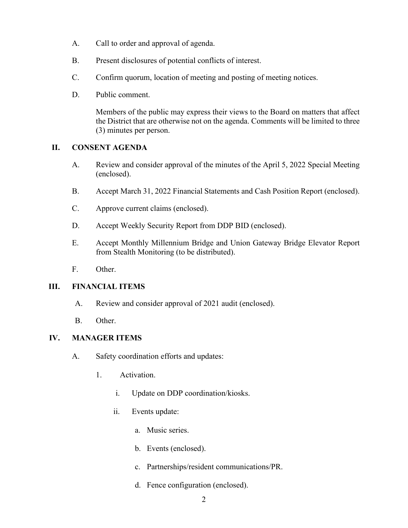- A. Call to order and approval of agenda.
- B. Present disclosures of potential conflicts of interest.
- C. Confirm quorum, location of meeting and posting of meeting notices.
- D. Public comment.

Members of the public may express their views to the Board on matters that affect the District that are otherwise not on the agenda. Comments will be limited to three (3) minutes per person.

## **II. CONSENT AGENDA**

- A. Review and consider approval of the minutes of the April 5, 2022 Special Meeting (enclosed).
- B. Accept March 31, 2022 Financial Statements and Cash Position Report (enclosed).
- C. Approve current claims (enclosed).
- D. Accept Weekly Security Report from DDP BID (enclosed).
- E. Accept Monthly Millennium Bridge and Union Gateway Bridge Elevator Report from Stealth Monitoring (to be distributed).
- F. Other.

## **III. FINANCIAL ITEMS**

- A. Review and consider approval of 2021 audit (enclosed).
- B. Other.

## **IV. MANAGER ITEMS**

- A. Safety coordination efforts and updates:
	- 1. Activation.
		- i. Update on DDP coordination/kiosks.
		- ii. Events update:
			- a. Music series.
			- b. Events (enclosed).
			- c. Partnerships/resident communications/PR.
			- d. Fence configuration (enclosed).